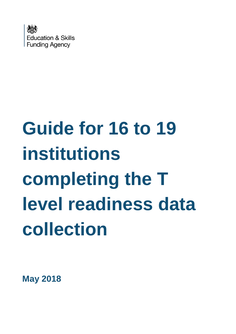

# **Guide for 16 to 19 institutions completing the T level readiness data collection**

**May 2018**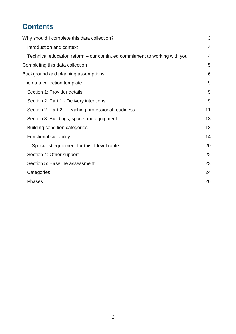# **Contents**

| Why should I complete this data collection?                               | 3              |
|---------------------------------------------------------------------------|----------------|
| Introduction and context                                                  | $\overline{4}$ |
| Technical education reform – our continued commitment to working with you | 4              |
| Completing this data collection                                           | 5              |
| Background and planning assumptions                                       | 6              |
| The data collection template                                              | 9              |
| Section 1: Provider details                                               | 9              |
| Section 2: Part 1 - Delivery intentions                                   | 9              |
| Section 2: Part 2 - Teaching professional readiness                       | 11             |
| Section 3: Buildings, space and equipment                                 | 13             |
| <b>Building condition categories</b>                                      | 13             |
| <b>Functional suitability</b>                                             | 14             |
| Specialist equipment for this T level route                               | 20             |
| Section 4: Other support                                                  | 22             |
| Section 5: Baseline assessment                                            | 23             |
| Categories                                                                | 24             |
| <b>Phases</b>                                                             | 26             |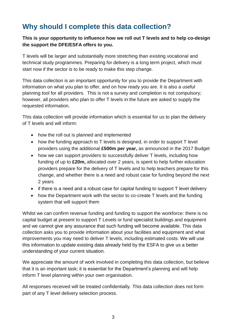# <span id="page-2-0"></span>**Why should I complete this data collection?**

#### **This is your opportunity to influence how we roll out T levels and to help co-design the support the DFE/ESFA offers to you.**

T levels will be larger and substantially more stretching than existing vocational and technical study programmes. Preparing for delivery is a long term project, which must start now if the sector is to be ready to make this step change.

This data collection is an important opportunity for you to provide the Department with information on what you plan to offer, and on how ready you are. It is also a useful planning tool for all providers. This is not a survey and completion is not compulsory; however, all providers who plan to offer T levels in the future are asked to supply the requested information.

This data collection will provide information which is essential for us to plan the delivery of T levels and will inform:

- how the roll out is planned and implemented
- how the funding approach to T levels is designed, in order to support T level providers using the additional **£500m per year,** as announced in the 2017 Budget
- how we can support providers to successfully deliver T levels, including how funding of up to **£20m,** allocated over 2 years, is spent to help further education providers prepare for the delivery of T levels and to help teachers prepare for this change, and whether there is a need and robust case for funding beyond the next 2 years
- if there is a need and a robust case for capital funding to support T level delivery
- how the Department work with the sector to co-create T levels and the funding system that will support them

Whilst we can confirm revenue funding and funding to support the workforce: there is no capital budget at present to support T Levels or fund specialist buildings and equipment and we cannot give any assurance that such funding will become available. This data collection asks you to provide information about your facilities and equipment and what improvements you may need to deliver T levels, including estimated costs. We will use this information to update existing data already held by the ESFA to give us a better understanding of your current situation.

We appreciate the amount of work involved in completing this data collection, but believe that it is an important task; it is essential for the Department's planning and will help inform T level planning within your own organisation.

All responses received will be treated confidentially. This data collection does not form part of any T level delivery selection process.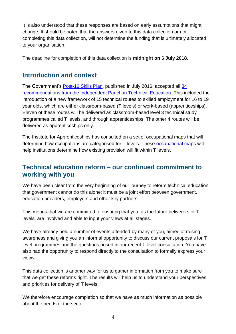It is also understood that these responses are based on early assumptions that might change. It should be noted that the answers given to this data collection or not completing this data collection, will not determine the funding that is ultimately allocated to your organisation.

The deadline for completion of this data collection is **midnight on 6 July 2018.**

## <span id="page-3-0"></span>**Introduction and context**

The Government's [Post-16 Skills Plan,](https://www.gov.uk/government/uploads/system/uploads/attachment_data/file/536043/Post-16_Skills_Plan.pdf) published in July 2016, accepted all [34](https://www.gov.uk/government/uploads/system/uploads/attachment_data/file/536046/Report_of_the_Independent_Panel_on_Technical_Education.pdf)  [recommendations from the Independent Panel on Technical Education.](https://www.gov.uk/government/uploads/system/uploads/attachment_data/file/536046/Report_of_the_Independent_Panel_on_Technical_Education.pdf) This included the introduction of a new framework of 15 technical routes to skilled employment for 16 to 19 year olds, which are either classroom-based (T levels) or work-based (apprenticeships). Eleven of these routes will be delivered as classroom-based level 3 technical study programmes called T levels, and through apprenticeships. The other 4 routes will be delivered as apprenticeships only.

The Institute for Apprenticeships has consulted on a set of occupational maps that will determine how occupations are categorised for T levels. These [occupational maps](https://consult.education.gov.uk/apprenticeships/institute-for-apprenticeships-occupational-maps/supporting_documents/Draft%20occupation%20maps.pdf) will help institutions determine how existing provision will fit within T levels.

## <span id="page-3-1"></span>**Technical education reform – our continued commitment to working with you**

We have been clear from the very beginning of our journey to reform technical education that government cannot do this alone: it must be a joint effort between government, education providers, employers and other key partners.

This means that we are committed to ensuring that you, as the future deliverers of T levels, are involved and able to input your views at all stages.

We have already held a number of events attended by many of you, aimed at raising awareness and giving you an informal opportunity to discuss our current proposals for T level programmes and the questions posed in our recent T level consultation. You have also had the opportunity to respond directly to the consultation to formally express your views.

This data collection is another way for us to gather information from you to make sure that we get these reforms right. The results will help us to understand your perspectives and priorities for delivery of T levels.

We therefore encourage completion so that we have as much information as possible about the needs of the sector.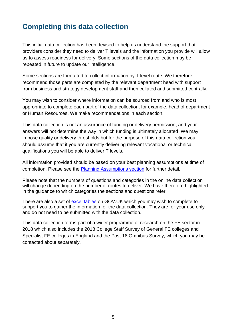# <span id="page-4-0"></span>**Completing this data collection**

This initial data collection has been devised to help us understand the support that providers consider they need to deliver T levels and the information you provide will allow us to assess readiness for delivery. Some sections of the data collection may be repeated in future to update our intelligence.

Some sections are formatted to collect information by T level route. We therefore recommend those parts are completed by the relevant department head with support from business and strategy development staff and then collated and submitted centrally.

You may wish to consider where information can be sourced from and who is most appropriate to complete each part of the data collection, for example, head of department or Human Resources. We make recommendations in each section.

This data collection is not an assurance of funding or delivery permission, and your answers will not determine the way in which funding is ultimately allocated. We may impose quality or delivery thresholds but for the purpose of this data collection you should assume that if you are currently delivering relevant vocational or technical qualifications you will be able to deliver T levels.

All information provided should be based on your best planning assumptions at time of completion. Please see the [Planning Assumptions section](#page-5-0) for further detail.

Please note that the numbers of questions and categories in the online data collection will change depending on the number of routes to deliver. We have therefore highlighted in the guidance to which categories the sections and questions refer.

There are also a set of [excel tables](https://www.gov.uk/government/publications/t-level-data-collection-guidance-2018) on GOV.UK which you may wish to complete to support you to gather the information for the data collection. They are for your use only and do not need to be submitted with the data collection.

This data collection forms part of a wider programme of research on the FE sector in 2018 which also includes the 2018 College Staff Survey of General FE colleges and Specialist FE colleges in England and the Post 16 Omnibus Survey, which you may be contacted about separately.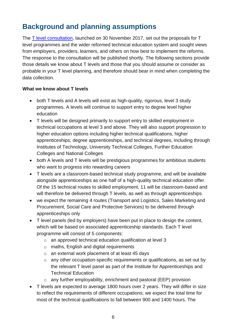# <span id="page-5-0"></span>**Background and planning assumptions**

The [T level consultation,](https://www.gov.uk/government/consultations/implementation-of-t-level-programmes) launched on 30 November 2017, set out the proposals for T level programmes and the wider reformed technical education system and sought views from employers, providers, learners, and others on how best to implement the reforms. The response to the consultation will be published shortly. The following sections provide those details we know about T levels and those that you should assume or consider as probable in your T level planning, and therefore should bear in mind when completing the data collection.

#### **What we know about T levels**

- both T levels and A levels will exist as high-quality, rigorous, level 3 study programmes. A levels will continue to support entry to degree level higher education
- T levels will be designed primarily to support entry to skilled employment in technical occupations at level 3 and above. They will also support progression to higher education options including higher technical qualifications, higher apprenticeships, degree apprenticeships, and technical degrees, including through Institutes of Technology, University Technical Colleges, Further Education Colleges and National Colleges
- both A levels and T levels will be prestigious programmes for ambitious students who want to progress into rewarding careers
- T levels are a classroom-based technical study programme, and will be available alongside apprenticeships as one half of a high-quality technical education offer. Of the 15 technical routes to skilled employment, 11 will be classroom-based and will therefore be delivered through T levels, as well as through apprenticeships.
- we expect the remaining 4 routes (Transport and Logistics, Sales Marketing and Procurement, Social Care and Protective Services) to be delivered through apprenticeships only
- T level panels (led by employers) have been put in place to design the content, which will be based on associated apprenticeship standards. Each T level programme will consist of 5 components:
	- o an approved technical education qualification at level 3
	- o maths, English and digital requirements
	- o an external work placement of at least 45 days
	- o any other occupation-specific requirements or qualifications, as set out by the relevant T level panel as part of the Institute for Apprenticeships and Technical Education
	- o any further employability, enrichment and pastoral (EEP) provision
- T levels are expected to average 1800 hours over 2 years. They will differ in size to reflect the requirements of different occupations; we expect the total time for most of the technical qualifications to fall between 900 and 1400 hours. The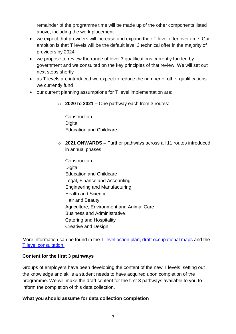remainder of the programme time will be made up of the other components listed above, including the work placement

- we expect that providers will increase and expand their T level offer over time. Our ambition is that T levels will be the default level 3 technical offer in the majority of providers by 2024
- we propose to review the range of level 3 qualifications currently funded by government and we consulted on the key principles of that review. We will set out next steps shortly
- as T levels are introduced we expect to reduce the number of other qualifications we currently fund
- our current planning assumptions for T level implementation are:
	- o **2020 to 2021 –** One pathway each from 3 routes:

**Construction Digital** Education and Childcare

- o **2021 ONWARDS –** Further pathways across all 11 routes introduced in annual phases:
	- **Construction Digital** Education and Childcare Legal, Finance and Accounting Engineering and Manufacturing Health and Science Hair and Beauty Agriculture, Environment and Animal Care Business and Administrative Catering and Hospitality Creative and Design

More information can be found in the  $T$  level action plan, [draft occupational maps](https://consult.education.gov.uk/apprenticeships/institute-for-apprenticeships-occupational-maps/supporting_documents/Draft%20occupation%20maps.pdf) and the [T level consultation.](https://www.gov.uk/government/consultations/implementation-of-t-level-programmes)

#### **Content for the first 3 pathways**

Groups of employers have been developing the content of the new T levels, setting out the knowledge and skills a student needs to have acquired upon completion of the programme. We will make the draft content for the first 3 pathways available to you to inform the completion of this data collection.

#### **What you should assume for data collection completion**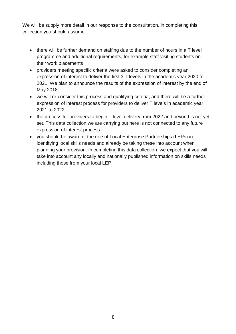We will be supply more detail in our response to the consultation, in completing this collection you should assume:

- there will be further demand on staffing due to the number of hours in a T level programme and additional requirements, for example staff visiting students on their work placements
- providers meeting specific criteria were asked to consider completing an expression of interest to deliver the first 3 T levels in the academic year 2020 to 2021. We plan to announce the results of the expression of interest by the end of May 2018
- we will re-consider this process and qualifying criteria, and there will be a further expression of interest process for providers to deliver T levels in academic year 2021 to 2022
- the process for providers to begin T level delivery from 2022 and beyond is not yet set. This data collection we are carrying out here is not connected to any future expression of interest process
- you should be aware of the role of Local Enterprise Partnerships (LEPs) in identifying local skills needs and already be taking these into account when planning your provision. In completing this data collection, we expect that you will take into account any locally and nationally published information on skills needs including those from your local LEP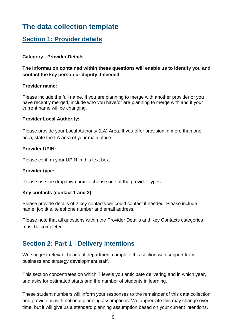# <span id="page-8-0"></span>**The data collection template**

## <span id="page-8-1"></span>**Section 1: Provider details**

#### **Category - Provider Details**

#### **The information contained within these questions will enable us to identify you and contact the key person or deputy if needed.**

#### **Provider name:**

Please include the full name. If you are planning to merge with another provider or you have recently merged, include who you have/or are planning to merge with and if your current name will be changing.

#### **Provider Local Authority:**

Please provide your Local Authority (LA) Area. If you offer provision in more than one area, state the LA area of your main office.

#### **Provider UPIN:**

Please confirm your UPIN in this text box.

#### **Provider type:**

Please use the dropdown box to choose one of the provider types.

#### **Key contacts (contact 1 and 2)**

Please provide details of 2 key contacts we could contact if needed. Please include name, job title, telephone number and email address.

Please note that all questions within the Provider Details and Key Contacts categories must be completed.

## <span id="page-8-2"></span>**Section 2: Part 1 - Delivery intentions**

We suggest relevant heads of department complete this section with support from business and strategy development staff.

This section concentrates on which T levels you anticipate delivering and in which year, and asks for estimated starts and the number of students in learning.

These student numbers will inform your responses to the remainder of this data collection and provide us with national planning assumptions. We appreciate this may change over time, but it will give us a standard planning assumption based on your current intentions.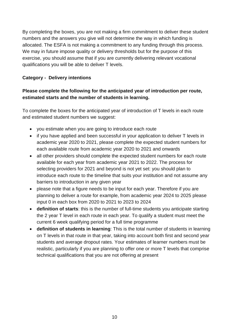By completing the boxes, you are not making a firm commitment to deliver these student numbers and the answers you give will not determine the way in which funding is allocated. The ESFA is not making a commitment to any funding through this process. We may in future impose quality or delivery thresholds but for the purpose of this exercise, you should assume that if you are currently delivering relevant vocational qualifications you will be able to deliver T levels.

#### **Category - Delivery intentions**

#### **Please complete the following for the anticipated year of introduction per route, estimated starts and the number of students in learning.**

To complete the boxes for the anticipated year of introduction of T levels in each route and estimated student numbers we suggest:

- you estimate when you are going to introduce each route
- if you have applied and been successful in your application to deliver T levels in academic year 2020 to 2021, please complete the expected student numbers for each available route from academic year 2020 to 2021 and onwards
- all other providers should complete the expected student numbers for each route available for each year from academic year 2021 to 2022. The process for selecting providers for 2021 and beyond is not yet set: you should plan to introduce each route to the timeline that suits your institution and not assume any barriers to introduction in any given year
- please note that a figure needs to be input for each year. Therefore if you are planning to deliver a route for example, from academic year 2024 to 2025 please input 0 in each box from 2020 to 2021 to 2023 to 2024
- **definition of starts**: this is the number of full-time students you anticipate starting the 2 year T level in each route in each year. To qualify a student must meet the current 6 week qualifying period for a full time programme
- **definition of students in learning**: This is the total number of students in learning on T levels in that route in that year, taking into account both first and second year students and average dropout rates. Your estimates of learner numbers must be realistic, particularly if you are planning to offer one or more T levels that comprise technical qualifications that you are not offering at present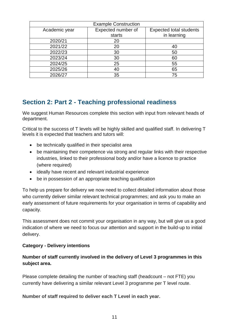|               | <b>Example Construction</b> |                                |
|---------------|-----------------------------|--------------------------------|
| Academic year | Expected number of          | <b>Expected total students</b> |
|               | starts                      | in learning                    |
| 2020/21       | 20                          |                                |
| 2021/22       | 20                          | 40                             |
| 2022/23       | 30                          | 50                             |
| 2023/24       | 30                          | 60                             |
| 2024/25       | 25                          | 55                             |
| 2025/26       | 40                          | 65                             |
| 2026/27       | 35                          | 75                             |

## <span id="page-10-0"></span>**Section 2: Part 2 - Teaching professional readiness**

We suggest Human Resources complete this section with input from relevant heads of department.

Critical to the success of T levels will be highly skilled and qualified staff. In delivering T levels it is expected that teachers and tutors will:

- be technically qualified in their specialist area
- be maintaining their competence via strong and regular links with their respective industries, linked to their professional body and/or have a licence to practice (where required)
- ideally have recent and relevant industrial experience
- be in possession of an appropriate teaching qualification

To help us prepare for delivery we now need to collect detailed information about those who currently deliver similar relevant technical programmes; and ask you to make an early assessment of future requirements for your organisation in terms of capability and capacity.

This assessment does not commit your organisation in any way, but will give us a good indication of where we need to focus our attention and support in the build-up to initial delivery.

#### **Category - Delivery intentions**

#### **Number of staff currently involved in the delivery of Level 3 programmes in this subject area.**

Please complete detailing the number of teaching staff (headcount – not FTE) you currently have delivering a similar relevant Level 3 programme per T level route.

#### **Number of staff required to deliver each T Level in each year.**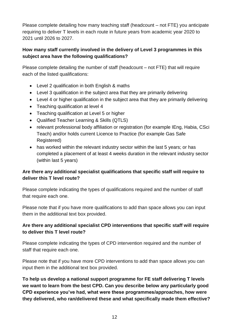Please complete detailing how many teaching staff (headcount – not FTE) you anticipate requiring to deliver T levels in each route in future years from academic year 2020 to 2021 until 2026 to 2027.

#### **How many staff currently involved in the delivery of Level 3 programmes in this subject area have the following qualifications?**

Please complete detailing the number of staff (headcount – not FTE) that will require each of the listed qualifications:

- Level 2 qualification in both English & maths
- Level 3 qualification in the subject area that they are primarily delivering
- Level 4 or higher qualification in the subject area that they are primarily delivering
- Teaching qualification at level 4
- Teaching qualification at Level 5 or higher
- Qualified Teacher Learning & Skills (QTLS)
- relevant professional body affiliation or registration (for example IEng, Habia, CSci Teach) and/or holds current Licence to Practice (for example Gas Safe Registered)
- has worked within the relevant industry sector within the last 5 years; or has completed a placement of at least 4 weeks duration in the relevant industry sector (within last 5 years)

#### **Are there any additional specialist qualifications that specific staff will require to deliver this T level route?**

Please complete indicating the types of qualifications required and the number of staff that require each one.

Please note that if you have more qualifications to add than space allows you can input them in the additional text box provided.

#### **Are there any additional specialist CPD interventions that specific staff will require to deliver this T level route?**

Please complete indicating the types of CPD intervention required and the number of staff that require each one.

Please note that if you have more CPD interventions to add than space allows you can input them in the additional text box provided.

**To help us develop a national support programme for FE staff delivering T levels we want to learn from the best CPD. Can you describe below any particularly good CPD experience you've had, what were these programmes/approaches, how were they delivered, who ran/delivered these and what specifically made them effective?**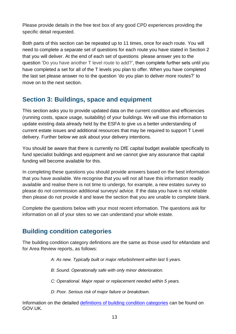Please provide details in the free text box of any good CPD experiences providing the specific detail requested.

Both parts of this section can be repeated up to 11 times, once for each route. You will need to complete a separate set of questions for each route you have stated in Section 2 that you will deliver. At the end of each set of questions please answer yes to the question 'Do you have another T level route to add?', then complete further sets until you have completed a set for all of the T levels you plan to offer. When you have completed the last set please answer no to the question 'do you plan to deliver more routes?' to move on to the next section.

## <span id="page-12-0"></span>**Section 3: Buildings, space and equipment**

This section asks you to provide updated data on the current condition and efficiencies (running costs, space usage, suitability) of your buildings. We will use this information to update existing data already held by the ESFA to give us a better understanding of current estate issues and additional resources that may be required to support T Level delivery. Further below we ask about your delivery intentions.

You should be aware that there is currently no DfE capital budget available specifically to fund specialist buildings and equipment and we cannot give any assurance that capital funding will become available for this.

In completing these questions you should provide answers based on the best information that you have available. We recognise that you will not all have this information readily available and realise there is not time to undergo, for example, a new estates survey so please do not commission additional surveys/ advice. If the data you have is not reliable then please do not provide it and leave the section that you are unable to complete blank.

Complete the questions below with your most recent information. The questions ask for information on all of your sites so we can understand your whole estate.

## <span id="page-12-1"></span>**Building condition categories**

The building condition category definitions are the same as those used for eMandate and for Area Review reports, as follows:

*A: As new. Typically built or major refurbishment within last 5 years.* 

- *B: Sound. Operationally safe with only minor deterioration.*
- *C: Operational. Major repair or replacement needed within 5 years.*
- *D: Poor. Serious risk of major failure or breakdown.*

Information on the detailed [definitions of building condition categories](http://www.building-knowledge.info/best-practice/consistent-condition-assessments/) can be found on GOV.UK.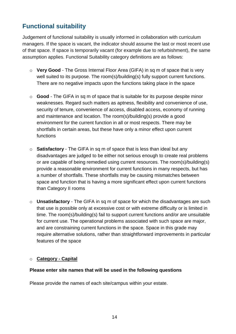## <span id="page-13-0"></span>**Functional suitability**

Judgement of functional suitability is usually informed in collaboration with curriculum managers. If the space is vacant, the indicator should assume the last or most recent use of that space. If space is temporarily vacant (for example due to refurbishment), the same assumption applies. Functional Suitability category definitions are as follows:

- o **Very Good** The Gross Internal Floor Area (GIFA) in sq m of space that is very well suited to its purpose. The room(s)/building(s) fully support current functions. There are no negative impacts upon the functions taking place in the space
- o **Good** The GIFA in sq m of space that is suitable for its purpose despite minor weaknesses. Regard such matters as aptness, flexibility and convenience of use, security of tenure, convenience of access, disabled access, economy of running and maintenance and location. The room(s)/building(s) provide a good environment for the current function in all or most respects. There may be shortfalls in certain areas, but these have only a minor effect upon current functions
- o **Satisfactory** The GIFA in sq m of space that is less than ideal but any disadvantages are judged to be either not serious enough to create real problems or are capable of being remedied using current resources. The room(s)/building(s) provide a reasonable environment for current functions in many respects, but has a number of shortfalls. These shortfalls may be causing mismatches between space and function that is having a more significant effect upon current functions than Category II rooms
- o **Unsatisfactory** The GIFA in sq m of space for which the disadvantages are such that use is possible only at excessive cost or with extreme difficulty or is limited in time. The room(s)/building(s) fail to support current functions and/or are unsuitable for current use. The operational problems associated with such space are major, and are constraining current functions in the space. Space in this grade may require alternative solutions, rather than straightforward improvements in particular features of the space

#### o **Category - Capital**

#### **Please enter site names that will be used in the following questions**

Please provide the names of each site/campus within your estate.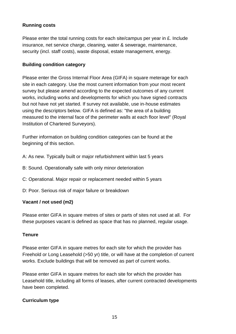#### **Running costs**

Please enter the total running costs for each site/campus per year in £. Include insurance, net service charge, cleaning, water & sewerage, maintenance, security (incl. staff costs), waste disposal, estate management, energy.

#### **Building condition category**

Please enter the Gross Internal Floor Area (GIFA) in square meterage for each site in each category. Use the most current information from your most recent survey but please amend according to the expected outcomes of any current works, including works and developments for which you have signed contracts but not have not yet started. If survey not available, use in-house estimates using the descriptors below. GIFA is defined as: "the area of a building measured to the internal face of the perimeter walls at each floor level" (Royal Institution of Chartered Surveyors).

Further information on building condition categories can be found at the beginning of this section.

A: As new. Typically built or major refurbishment within last 5 years

- B: Sound. Operationally safe with only minor deterioration
- C: Operational. Major repair or replacement needed within 5 years
- D: Poor. Serious risk of major failure or breakdown

#### **Vacant / not used (m2)**

Please enter GIFA in square metres of sites or parts of sites not used at all. For these purposes vacant is defined as space that has no planned, regular usage.

#### **Tenure**

Please enter GIFA in square metres for each site for which the provider has Freehold or Long Leasehold (>50 yr) title, or will have at the completion of current works. Exclude buildings that will be removed as part of current works.

Please enter GIFA in square metres for each site for which the provider has Leasehold title, including all forms of leases, after current contracted developments have been completed.

#### **Curriculum type**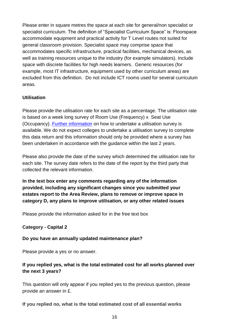Please enter in square metres the space at each site for general/non specialist or specialist curriculum. The definition of "Specialist Curriculum Space" is: Floorspace accommodate equipment and practical activity for T Level routes not suited for general classroom provision. Specialist space may comprise space that accommodates specific infrastructure, practical facilities, mechanical devices, as well as training resources unique to the industry (for example simulators). Include space with discrete facilities for high needs learners. Generic resources (for example, most IT infrastructure, equipment used by other curriculum areas) are excluded from this definition. Do not include ICT rooms used for several curriculum areas.

#### **Utilisation**

Please provide the utilisation rate for each site as a percentage. The utilisation rate is based on a week long survey of Room Use (Frequency) x Seat Use (Occupancy). [Further information](http://www.building-knowledge.info/best-practice/management-of-floorspace-in-further-education-colleges/) on how to undertake a utilisation survey is available. We do not expect colleges to undertake a utilisation survey to complete this data return and this information should only be provided where a survey has been undertaken in accordance with the guidance within the last 2 years.

Please also provide the date of the survey which determined the utilisation rate for each site. The survey date refers to the date of the report by the third party that collected the relevant information.

**In the text box enter any comments regarding any of the information provided, including any significant changes since you submitted your estates report to the Area Review, plans to remove or improve space in category D, any plans to improve utilisation, or any other related issues**

Please provide the information asked for in the free text box

#### **Category - Capital 2**

#### **Do you have an annually updated maintenance plan?**

Please provide a yes or no answer.

#### **If you replied yes, what is the total estimated cost for all works planned over the next 3 years?**

This question will only appear if you replied yes to the previous question, please provide an answer in £.

#### **If you replied no, what is the total estimated cost of all essential works**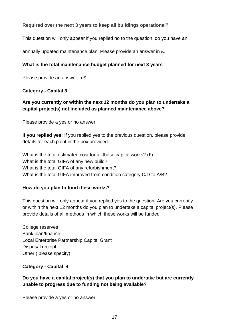#### **Required over the next 3 years to keep all buildings operational?**

This question will only appear if you replied no to the question, do you have an

annually updated maintenance plan. Please provide an answer in £.

#### **What is the total maintenance budget planned for next 3 years**

Please provide an answer in £.

#### **Category - Capital 3**

#### **Are you currently or within the next 12 months do you plan to undertake a capital project(s) not included as planned maintenance above?**

Please provide a yes or no answer.

**If you replied yes:** If you replied yes to the previous question, please provide details for each point in the box provided.

What is the total estimated cost for all these capital works? (£) What is the total GIFA of any new build? What is the total GIFA of any refurbishment? What is the total GIFA improved from condition category C/D to A/B?

#### **How do you plan to fund these works?**

This question will only appear if you replied yes to the question, Are you currently or within the next 12 months do you plan to undertake a capital project(s). Please provide details of all methods in which these works will be funded

College reserves Bank loan/finance Local Enterprise Partnership Capital Grant Disposal receipt Other ( please specify)

**Category - Capital 4**

#### **Do you have a capital project(s) that you plan to undertake but are currently unable to progress due to funding not being available?**

Please provide a yes or no answer.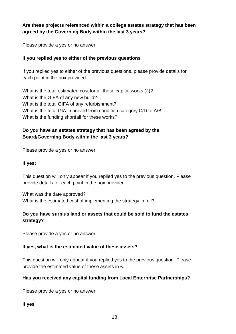#### **Are these projects referenced within a college estates strategy that has been agreed by the Governing Body within the last 3 years?**

Please provide a yes or no answer.

#### **If you replied yes to either of the previous questions**

If you replied yes to either of the previous questions, please provide details for each point in the box provided.

What is the total estimated cost for all these capital works  $(E)?$ What is the GIFA of any new build? What is the total GIFA of any refurbishment? What is the total GIA improved from condition category C/D to A/B What is the funding shortfall for these works?

#### **Do you have an estates strategy that has been agreed by the Board/Governing Body within the last 3 years?**

Please provide a yes or no answer

#### **If yes:**

This question will only appear if you replied yes to the previous question. Please provide details for each point in the box provided.

What was the date approved? What is the estimated cost of implementing the strategy in full?

#### **Do you have surplus land or assets that could be sold to fund the estates strategy?**

Please provide a yes or no answer

#### **If yes, what is the estimated value of these assets?**

This question will only appear if you replied yes to the previous question. Please provide the estimated value of these assets in £.

#### **Has you received any capital funding from Local Enterprise Partnerships?**

Please provide a yes or no answer

**If yes**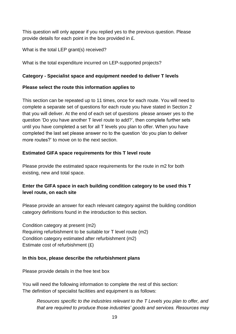This question will only appear if you replied yes to the previous question. Please provide details for each point in the box provided in £.

What is the total LEP grant(s) received?

What is the total expenditure incurred on LEP-supported projects?

#### **Category - Specialist space and equipment needed to deliver T levels**

#### **Please select the route this information applies to**

This section can be repeated up to 11 times, once for each route. You will need to complete a separate set of questions for each route you have stated in Section 2 that you will deliver. At the end of each set of questions please answer yes to the question 'Do you have another T level route to add?', then complete further sets until you have completed a set for all T levels you plan to offer. When you have completed the last set please answer no to the question 'do you plan to deliver more routes?' to move on to the next section.

#### **Estimated GIFA space requirements for this T level route**

Please provide the estimated space requirements for the route in m2 for both existing, new and total space.

#### **Enter the GIFA space in each building condition category to be used this T level route, on each site**

Please provide an answer for each relevant category against the building condition category definitions found in the introduction to this section.

Condition category at present (m2) Requiring refurbishment to be suitable tor T level route (m2) Condition category estimated after refurbishment (m2) Estimate cost of refurbishment (£)

#### **In this box, please describe the refurbishment plans**

Please provide details in the free text box

You will need the following information to complete the rest of this section: The definition of specialist facilities and equipment is as follows:

*Resources specific to the industries relevant to the T Levels you plan to offer, and that are required to produce those industries' goods and services. Resources may*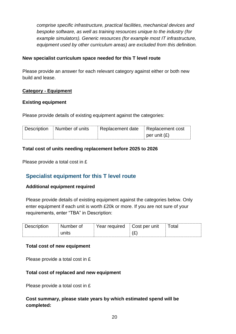*comprise specific infrastructure, practical facilities, mechanical devices and bespoke software, as well as training resources unique to the industry (for example simulators). Generic resources (for example most IT infrastructure, equipment used by other curriculum areas) are excluded from this definition.*

#### **New specialist curriculum space needed for this T level route**

Please provide an answer for each relevant category against either or both new build and lease.

#### **Category - Equipment**

#### **Existing equipment**

Please provide details of existing equipment against the categories:

| Description Number of units | Replacement date Replacement cost |                |
|-----------------------------|-----------------------------------|----------------|
|                             |                                   | per unit $(E)$ |

#### **Total cost of units needing replacement before 2025 to 2026**

<span id="page-19-0"></span>Please provide a total cost in £

### **Specialist equipment for this T level route**

#### **Additional equipment required**

Please provide details of existing equipment against the categories below. Only enter equipment if each unit is worth £20k or more. If you are not sure of your requirements, enter "TBA" in Description:

| ∽ | 1000<br>≏ | $-$ roof tirool<br>്ലാr<br>w | $\cdots$<br>็∩et<br>,,,              |  |
|---|-----------|------------------------------|--------------------------------------|--|
|   | .<br>'''  |                              | $\overline{\phantom{0}}$<br>77<br>しん |  |

#### **Total cost of new equipment**

Please provide a total cost in £

#### **Total cost of replaced and new equipment**

Please provide a total cost in £

#### **Cost summary, please state years by which estimated spend will be completed:**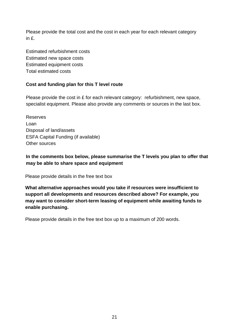Please provide the total cost and the cost in each year for each relevant category in £.

Estimated refurbishment costs Estimated new space costs Estimated equipment costs Total estimated costs

#### **Cost and funding plan for this T level route**

Please provide the cost in £ for each relevant category: refurbishment, new space, specialist equipment. Please also provide any comments or sources in the last box.

Other sources Reserves Loan Disposal of land/assets ESFA Capital Funding (if available)

#### **In the comments box below, please summarise the T levels you plan to offer that may be able to share space and equipment**

Please provide details in the free text box

**What alternative approaches would you take if resources were insufficient to support all developments and resources described above? For example, you may want to consider short-term leasing of equipment while awaiting funds to enable purchasing.**

Please provide details in the free text box up to a maximum of 200 words.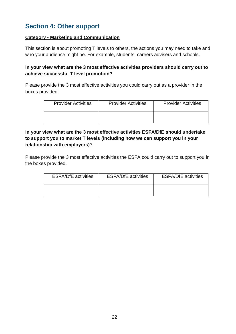## <span id="page-21-0"></span>**Section 4: Other support**

#### **Category - Marketing and Communication**

This section is about promoting T levels to others, the actions you may need to take and who your audience might be. For example, students, careers advisers and schools.

#### **In your view what are the 3 most effective activities providers should carry out to achieve successful T level promotion?**

Please provide the 3 most effective activities you could carry out as a provider in the boxes provided.

| <b>Provider Activities</b> | <b>Provider Activities</b> | <b>Provider Activities</b> |
|----------------------------|----------------------------|----------------------------|
|                            |                            |                            |

#### **In your view what are the 3 most effective activities ESFA/DfE should undertake to support you to market T levels (including how we can support you in your relationship with employers)**?

Please provide the 3 most effective activities the ESFA could carry out to support you in the boxes provided.

| <b>ESFA/DfE</b> activities | <b>ESFA/DfE</b> activities | <b>ESFA/DfE</b> activities |
|----------------------------|----------------------------|----------------------------|
|                            |                            |                            |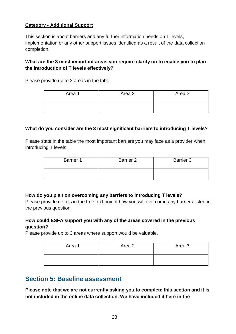#### **Category - Additional Support**

This section is about barriers and any further information needs on T levels, implementation or any other support issues identified as a result of the data collection completion.

#### **What are the 3 most important areas you require clarity on to enable you to plan the introduction of T levels effectively?**

Please provide up to 3 areas in the table.

| Area 1 | Area 2 | Area 3 |
|--------|--------|--------|
|        |        |        |

#### **What do you consider are the 3 most significant barriers to introducing T levels?**

Please state in the table the most important barriers you may face as a provider when introducing T levels.

| <b>Barrier 1</b> | Barrier 2 | <b>Barrier 3</b> |
|------------------|-----------|------------------|
|                  |           |                  |

#### **How do you plan on overcoming any barriers to introducing T levels?**

Please provide details in the free text box of how you will overcome any barriers listed in the previous question.

#### **How could ESFA support you with any of the areas covered in the previous question?**

Please provide up to 3 areas where support would be valuable.

| Area 1 | Area 2 | Area 3 |
|--------|--------|--------|
|        |        |        |

## <span id="page-22-0"></span>**Section 5: Baseline assessment**

**Please note that we are not currently asking you to complete this section and it is not included in the online data collection. We have included it here in the**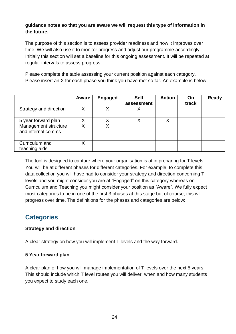#### **guidance notes so that you are aware we will request this type of information in the future.**

The purpose of this section is to assess provider readiness and how it improves over time. We will also use it to monitor progress and adjust our programme accordingly. Initially this section will set a baseline for this ongoing assessment. It will be repeated at regular intervals to assess progress.

Please complete the table assessing your current position against each category. Please insert an X for each phase you think you have met so far. An example is below.

|                                            | Aware | <b>Engaged</b> | <b>Self</b> | <b>Action</b> | <b>On</b> | <b>Ready</b> |
|--------------------------------------------|-------|----------------|-------------|---------------|-----------|--------------|
|                                            |       |                | assessment  |               | track     |              |
| Strategy and direction                     | X     |                | Х           |               |           |              |
| 5 year forward plan                        |       |                |             |               |           |              |
| Management structure<br>and internal comms | X     | Χ              |             |               |           |              |
| Curriculum and<br>teaching aids            | Χ     |                |             |               |           |              |

The tool is designed to capture where your organisation is at in preparing for T levels. You will be at different phases for different categories. For example, to complete this data collection you will have had to consider your strategy and direction concerning T levels and you might consider you are at "Engaged" on this category whereas on Curriculum and Teaching you might consider your position as "Aware". We fully expect most categories to be in one of the first 3 phases at this stage but of course, this will progress over time. The definitions for the phases and categories are below:

## <span id="page-23-0"></span>**Categories**

#### **Strategy and direction**

A clear strategy on how you will implement T levels and the way forward.

#### **5 Year forward plan**

A clear plan of how you will manage implementation of T levels over the next 5 years. This should include which T level routes you will deliver, when and how many students you expect to study each one.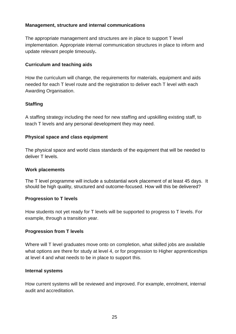#### **Management, structure and internal communications**

The appropriate management and structures are in place to support T level implementation. Appropriate internal communication structures in place to inform and update relevant people timeously**.** 

#### **Curriculum and teaching aids**

How the curriculum will change, the requirements for materials, equipment and aids needed for each T level route and the registration to deliver each T level with each Awarding Organisation.

#### **Staffing**

A staffing strategy including the need for new staffing and upskilling existing staff, to teach T levels and any personal development they may need.

#### **Physical space and class equipment**

The physical space and world class standards of the equipment that will be needed to deliver T levels.

#### **Work placements**

The T level programme will include a substantial work placement of at least 45 days. It should be high quality, structured and outcome-focused. How will this be delivered?

#### **Progression to T levels**

How students not yet ready for T levels will be supported to progress to T levels. For example, through a transition year.

#### **Progression from T levels**

Where will T level graduates move onto on completion, what skilled jobs are available what options are there for study at level 4, or for progression to Higher apprenticeships at level 4 and what needs to be in place to support this.

#### **Internal systems**

How current systems will be reviewed and improved. For example, enrolment, internal audit and accreditation.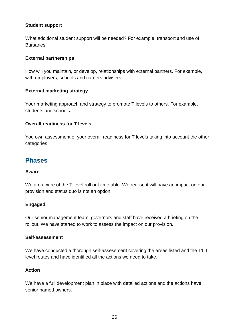#### **Student support**

What additional student support will be needed? For example, transport and use of Bursaries.

#### **External partnerships**

How will you maintain, or develop, relationships with external partners. For example, with employers, schools and careers advisers.

#### **External marketing strategy**

Your marketing approach and strategy to promote T levels to others. For example, students and schools.

#### **Overall readiness for T levels**

You own assessment of your overall readiness for T levels taking into account the other categories.

## <span id="page-25-0"></span>**Phases**

#### **Aware**

We are aware of the T level roll out timetable. We realise it will have an impact on our provision and status quo is not an option.

#### **Engaged**

Our senior management team, governors and staff have received a briefing on the rollout. We have started to work to assess the impact on our provision.

#### **Self-assessment**

We have conducted a thorough self-assessment covering the areas listed and the 11 T level routes and have identified all the actions we need to take.

#### **Action**

We have a full development plan in place with detailed actions and the actions have senior named owners.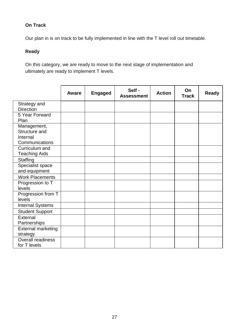#### **On Track**

Our plan in is on track to be fully implemented in line with the T level roll out timetable.

#### **Ready**

On this category, we are ready to move to the next stage of implementation and ultimately are ready to implement T levels.

|                           | Aware | <b>Engaged</b> | Self -<br><b>Assessment</b> | <b>Action</b> | On<br><b>Track</b> | <b>Ready</b> |
|---------------------------|-------|----------------|-----------------------------|---------------|--------------------|--------------|
| Strategy and              |       |                |                             |               |                    |              |
| <b>Direction</b>          |       |                |                             |               |                    |              |
| 5 Year Forward            |       |                |                             |               |                    |              |
| Plan                      |       |                |                             |               |                    |              |
| Management,               |       |                |                             |               |                    |              |
| Structure and             |       |                |                             |               |                    |              |
| Internal                  |       |                |                             |               |                    |              |
| Communications            |       |                |                             |               |                    |              |
| Curriculum and            |       |                |                             |               |                    |              |
| <b>Teaching Aids</b>      |       |                |                             |               |                    |              |
| <b>Staffing</b>           |       |                |                             |               |                    |              |
| Specialist space          |       |                |                             |               |                    |              |
| and equipment             |       |                |                             |               |                    |              |
| <b>Work Placements</b>    |       |                |                             |               |                    |              |
| Progression to T          |       |                |                             |               |                    |              |
| levels                    |       |                |                             |               |                    |              |
| Progression from T        |       |                |                             |               |                    |              |
| levels                    |       |                |                             |               |                    |              |
| <b>Internal Systems</b>   |       |                |                             |               |                    |              |
| <b>Student Support</b>    |       |                |                             |               |                    |              |
| External                  |       |                |                             |               |                    |              |
| Partnerships              |       |                |                             |               |                    |              |
| <b>External marketing</b> |       |                |                             |               |                    |              |
| strategy                  |       |                |                             |               |                    |              |
| <b>Overall readiness</b>  |       |                |                             |               |                    |              |
| for T levels              |       |                |                             |               |                    |              |